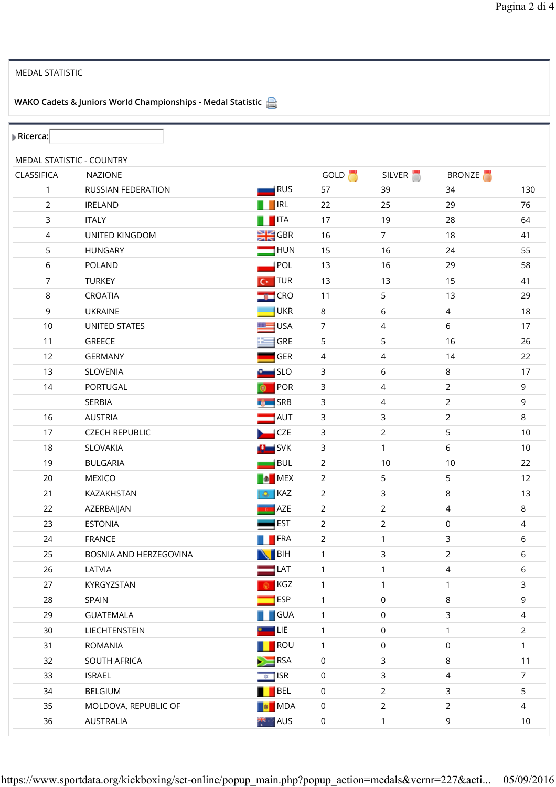## MEDAL STATISTIC

WAKO Cadets & Juniors World Championships - Medal Statistic

| MEDAL STATISTIC - COUNTRY<br>GOLD <b>N</b><br>SILVER <sup>1</sup><br><b>BRONZE</b><br>CLASSIFICA<br><b>NAZIONE</b><br>RUS<br>RUSSIAN FEDERATION<br>57<br>39<br>34<br>130<br>1<br><b>IRL</b><br>$\overline{2}$<br>76<br><b>IRELAND</b><br>22<br>29<br>25<br><b>ITA</b><br>3<br><b>ITALY</b><br>17<br>19<br>28<br>64<br>$H$ GBR<br>4<br>$\overline{7}$<br>18<br>41<br>UNITED KINGDOM<br>16<br>5<br><b>HUN</b><br>55<br><b>HUNGARY</b><br>15<br>16<br>24<br>POL<br>6<br>POLAND<br>13<br>16<br>29<br>58<br><b>TUR</b><br>$\overline{7}$<br>41<br><b>TURKEY</b><br>13<br>13<br>15<br>Iс۰<br>8<br>5<br>CROATIA<br>$\blacksquare$ CRO<br>11<br>13<br>29<br><b>UKR</b><br>9<br>$\,$ 6 $\,$<br>18<br><b>UKRAINE</b><br>8<br>$\overline{4}$<br><b>USA</b><br>$\overline{7}$<br>$6\,$<br>10<br><b>UNITED STATES</b><br>4<br>17<br>11<br>GRE<br>5<br>5<br>GREECE<br>16<br>26<br>GER<br>12<br>22<br><b>GERMANY</b><br>4<br>4<br>14<br><b>SLO</b><br>13<br>SLOVENIA<br>3<br>6<br>$\,8\,$<br>17<br>POR<br>$\mathsf{3}$<br>9<br>14<br>PORTUGAL<br>4<br>$\overline{2}$<br>SERBIA<br>SRB<br>3<br>$\overline{2}$<br>9<br>4<br>16<br>AUT<br>$\overline{2}$<br>8<br><b>AUSTRIA</b><br>3<br>3<br>CZE<br>$\overline{2}$<br>5<br>17<br><b>CZECH REPUBLIC</b><br>3<br>10<br>18<br>$\blacksquare$ SVK<br>3<br>$\mathbf{1}$<br>6<br>$10\,$<br>SLOVAKIA<br><b>BUL</b><br>$\overline{2}$<br>19<br><b>BULGARIA</b><br>10<br>22<br>10<br>$\blacksquare$ MEX<br>5<br><b>MEXICO</b><br>$\overline{2}$<br>5<br>12<br>20<br><b>P</b><br>3<br>$\,8\,$<br>KAZ<br>$\overline{2}$<br>13<br>21<br>KAZAKHSTAN<br>۵<br>AZE<br>22<br>$\overline{2}$<br>$\overline{2}$<br>8<br>AZERBAIJAN<br>4<br>EST<br>$\overline{2}$<br>23<br><b>ESTONIA</b><br>$\overline{2}$<br>$\mathsf 0$<br>4<br><b>TERA</b><br>$\overline{2}$<br>3<br>24<br><b>FRANCE</b><br>$\mathbf{1}$<br>6<br>25<br><b>NBIH</b><br>3<br>$\overline{2}$<br>6<br>$\mathbf{1}$<br>BOSNIA AND HERZEGOVINA<br>LAT<br>26<br>$\overline{4}$<br>LATVIA<br>$\mathbf{1}$<br>$\mathbf{1}$<br>6<br>KGZ<br>27<br>KYRGYZSTAN<br>1<br>3<br>1<br>1<br><b>ESP</b><br>$\mathsf{O}\xspace$<br>8<br>9<br>28<br>SPAIN<br>1<br>29<br><b>GUATEMALA</b><br><b>GUA</b><br>3<br>$\mathbf{1}$<br>$\mathsf 0$<br>4<br>LIE<br>30<br>LIECHTENSTEIN<br>$\mathsf 0$<br>$\overline{2}$<br>$\mathbf{1}$<br>1<br>ROU<br>31<br><b>ROMANIA</b><br>$\mathbf{1}$<br>$\mathsf{O}\xspace$<br>0<br>$\mathbf{1}$<br>3<br>$\,8\,$<br>32<br>SOUTH AFRICA<br><b>RSA</b><br>0<br>11<br>$\sqrt{a}$ ISR<br>3<br>$\overline{7}$<br>33<br><b>ISRAEL</b><br>$\mathsf{O}\xspace$<br>4<br><b>BEL</b><br>$\overline{2}$<br>5<br>34<br><b>BELGIUM</b><br>$\mathsf{O}\xspace$<br>3<br>$\overline{2}$<br>35<br>MOLDOVA, REPUBLIC OF<br>MDA<br>$\mathsf 0$<br>$\overline{2}$<br>$\overline{4}$<br>36<br><b>AUS</b><br>9<br>$\mathsf 0$<br>$\mathbf{1}$<br>10 | $\triangleright$ Ricerca: |                  |  |  |  |
|--------------------------------------------------------------------------------------------------------------------------------------------------------------------------------------------------------------------------------------------------------------------------------------------------------------------------------------------------------------------------------------------------------------------------------------------------------------------------------------------------------------------------------------------------------------------------------------------------------------------------------------------------------------------------------------------------------------------------------------------------------------------------------------------------------------------------------------------------------------------------------------------------------------------------------------------------------------------------------------------------------------------------------------------------------------------------------------------------------------------------------------------------------------------------------------------------------------------------------------------------------------------------------------------------------------------------------------------------------------------------------------------------------------------------------------------------------------------------------------------------------------------------------------------------------------------------------------------------------------------------------------------------------------------------------------------------------------------------------------------------------------------------------------------------------------------------------------------------------------------------------------------------------------------------------------------------------------------------------------------------------------------------------------------------------------------------------------------------------------------------------------------------------------------------------------------------------------------------------------------------------------------------------------------------------------------------------------------------------------------------------------------------------------------------------------------------------------------------------------------------------------------------------------------------------------------------------------------------------------------------------------------------------------------------------------------------------------------------------------------------------------------------------------------------------------------|---------------------------|------------------|--|--|--|
|                                                                                                                                                                                                                                                                                                                                                                                                                                                                                                                                                                                                                                                                                                                                                                                                                                                                                                                                                                                                                                                                                                                                                                                                                                                                                                                                                                                                                                                                                                                                                                                                                                                                                                                                                                                                                                                                                                                                                                                                                                                                                                                                                                                                                                                                                                                                                                                                                                                                                                                                                                                                                                                                                                                                                                                                                    |                           |                  |  |  |  |
|                                                                                                                                                                                                                                                                                                                                                                                                                                                                                                                                                                                                                                                                                                                                                                                                                                                                                                                                                                                                                                                                                                                                                                                                                                                                                                                                                                                                                                                                                                                                                                                                                                                                                                                                                                                                                                                                                                                                                                                                                                                                                                                                                                                                                                                                                                                                                                                                                                                                                                                                                                                                                                                                                                                                                                                                                    |                           |                  |  |  |  |
|                                                                                                                                                                                                                                                                                                                                                                                                                                                                                                                                                                                                                                                                                                                                                                                                                                                                                                                                                                                                                                                                                                                                                                                                                                                                                                                                                                                                                                                                                                                                                                                                                                                                                                                                                                                                                                                                                                                                                                                                                                                                                                                                                                                                                                                                                                                                                                                                                                                                                                                                                                                                                                                                                                                                                                                                                    |                           |                  |  |  |  |
|                                                                                                                                                                                                                                                                                                                                                                                                                                                                                                                                                                                                                                                                                                                                                                                                                                                                                                                                                                                                                                                                                                                                                                                                                                                                                                                                                                                                                                                                                                                                                                                                                                                                                                                                                                                                                                                                                                                                                                                                                                                                                                                                                                                                                                                                                                                                                                                                                                                                                                                                                                                                                                                                                                                                                                                                                    |                           |                  |  |  |  |
|                                                                                                                                                                                                                                                                                                                                                                                                                                                                                                                                                                                                                                                                                                                                                                                                                                                                                                                                                                                                                                                                                                                                                                                                                                                                                                                                                                                                                                                                                                                                                                                                                                                                                                                                                                                                                                                                                                                                                                                                                                                                                                                                                                                                                                                                                                                                                                                                                                                                                                                                                                                                                                                                                                                                                                                                                    |                           |                  |  |  |  |
|                                                                                                                                                                                                                                                                                                                                                                                                                                                                                                                                                                                                                                                                                                                                                                                                                                                                                                                                                                                                                                                                                                                                                                                                                                                                                                                                                                                                                                                                                                                                                                                                                                                                                                                                                                                                                                                                                                                                                                                                                                                                                                                                                                                                                                                                                                                                                                                                                                                                                                                                                                                                                                                                                                                                                                                                                    |                           |                  |  |  |  |
|                                                                                                                                                                                                                                                                                                                                                                                                                                                                                                                                                                                                                                                                                                                                                                                                                                                                                                                                                                                                                                                                                                                                                                                                                                                                                                                                                                                                                                                                                                                                                                                                                                                                                                                                                                                                                                                                                                                                                                                                                                                                                                                                                                                                                                                                                                                                                                                                                                                                                                                                                                                                                                                                                                                                                                                                                    |                           |                  |  |  |  |
|                                                                                                                                                                                                                                                                                                                                                                                                                                                                                                                                                                                                                                                                                                                                                                                                                                                                                                                                                                                                                                                                                                                                                                                                                                                                                                                                                                                                                                                                                                                                                                                                                                                                                                                                                                                                                                                                                                                                                                                                                                                                                                                                                                                                                                                                                                                                                                                                                                                                                                                                                                                                                                                                                                                                                                                                                    |                           |                  |  |  |  |
|                                                                                                                                                                                                                                                                                                                                                                                                                                                                                                                                                                                                                                                                                                                                                                                                                                                                                                                                                                                                                                                                                                                                                                                                                                                                                                                                                                                                                                                                                                                                                                                                                                                                                                                                                                                                                                                                                                                                                                                                                                                                                                                                                                                                                                                                                                                                                                                                                                                                                                                                                                                                                                                                                                                                                                                                                    |                           |                  |  |  |  |
|                                                                                                                                                                                                                                                                                                                                                                                                                                                                                                                                                                                                                                                                                                                                                                                                                                                                                                                                                                                                                                                                                                                                                                                                                                                                                                                                                                                                                                                                                                                                                                                                                                                                                                                                                                                                                                                                                                                                                                                                                                                                                                                                                                                                                                                                                                                                                                                                                                                                                                                                                                                                                                                                                                                                                                                                                    |                           |                  |  |  |  |
|                                                                                                                                                                                                                                                                                                                                                                                                                                                                                                                                                                                                                                                                                                                                                                                                                                                                                                                                                                                                                                                                                                                                                                                                                                                                                                                                                                                                                                                                                                                                                                                                                                                                                                                                                                                                                                                                                                                                                                                                                                                                                                                                                                                                                                                                                                                                                                                                                                                                                                                                                                                                                                                                                                                                                                                                                    |                           |                  |  |  |  |
|                                                                                                                                                                                                                                                                                                                                                                                                                                                                                                                                                                                                                                                                                                                                                                                                                                                                                                                                                                                                                                                                                                                                                                                                                                                                                                                                                                                                                                                                                                                                                                                                                                                                                                                                                                                                                                                                                                                                                                                                                                                                                                                                                                                                                                                                                                                                                                                                                                                                                                                                                                                                                                                                                                                                                                                                                    |                           |                  |  |  |  |
|                                                                                                                                                                                                                                                                                                                                                                                                                                                                                                                                                                                                                                                                                                                                                                                                                                                                                                                                                                                                                                                                                                                                                                                                                                                                                                                                                                                                                                                                                                                                                                                                                                                                                                                                                                                                                                                                                                                                                                                                                                                                                                                                                                                                                                                                                                                                                                                                                                                                                                                                                                                                                                                                                                                                                                                                                    |                           |                  |  |  |  |
|                                                                                                                                                                                                                                                                                                                                                                                                                                                                                                                                                                                                                                                                                                                                                                                                                                                                                                                                                                                                                                                                                                                                                                                                                                                                                                                                                                                                                                                                                                                                                                                                                                                                                                                                                                                                                                                                                                                                                                                                                                                                                                                                                                                                                                                                                                                                                                                                                                                                                                                                                                                                                                                                                                                                                                                                                    |                           |                  |  |  |  |
|                                                                                                                                                                                                                                                                                                                                                                                                                                                                                                                                                                                                                                                                                                                                                                                                                                                                                                                                                                                                                                                                                                                                                                                                                                                                                                                                                                                                                                                                                                                                                                                                                                                                                                                                                                                                                                                                                                                                                                                                                                                                                                                                                                                                                                                                                                                                                                                                                                                                                                                                                                                                                                                                                                                                                                                                                    |                           |                  |  |  |  |
|                                                                                                                                                                                                                                                                                                                                                                                                                                                                                                                                                                                                                                                                                                                                                                                                                                                                                                                                                                                                                                                                                                                                                                                                                                                                                                                                                                                                                                                                                                                                                                                                                                                                                                                                                                                                                                                                                                                                                                                                                                                                                                                                                                                                                                                                                                                                                                                                                                                                                                                                                                                                                                                                                                                                                                                                                    |                           |                  |  |  |  |
|                                                                                                                                                                                                                                                                                                                                                                                                                                                                                                                                                                                                                                                                                                                                                                                                                                                                                                                                                                                                                                                                                                                                                                                                                                                                                                                                                                                                                                                                                                                                                                                                                                                                                                                                                                                                                                                                                                                                                                                                                                                                                                                                                                                                                                                                                                                                                                                                                                                                                                                                                                                                                                                                                                                                                                                                                    |                           |                  |  |  |  |
|                                                                                                                                                                                                                                                                                                                                                                                                                                                                                                                                                                                                                                                                                                                                                                                                                                                                                                                                                                                                                                                                                                                                                                                                                                                                                                                                                                                                                                                                                                                                                                                                                                                                                                                                                                                                                                                                                                                                                                                                                                                                                                                                                                                                                                                                                                                                                                                                                                                                                                                                                                                                                                                                                                                                                                                                                    |                           |                  |  |  |  |
|                                                                                                                                                                                                                                                                                                                                                                                                                                                                                                                                                                                                                                                                                                                                                                                                                                                                                                                                                                                                                                                                                                                                                                                                                                                                                                                                                                                                                                                                                                                                                                                                                                                                                                                                                                                                                                                                                                                                                                                                                                                                                                                                                                                                                                                                                                                                                                                                                                                                                                                                                                                                                                                                                                                                                                                                                    |                           |                  |  |  |  |
|                                                                                                                                                                                                                                                                                                                                                                                                                                                                                                                                                                                                                                                                                                                                                                                                                                                                                                                                                                                                                                                                                                                                                                                                                                                                                                                                                                                                                                                                                                                                                                                                                                                                                                                                                                                                                                                                                                                                                                                                                                                                                                                                                                                                                                                                                                                                                                                                                                                                                                                                                                                                                                                                                                                                                                                                                    |                           |                  |  |  |  |
|                                                                                                                                                                                                                                                                                                                                                                                                                                                                                                                                                                                                                                                                                                                                                                                                                                                                                                                                                                                                                                                                                                                                                                                                                                                                                                                                                                                                                                                                                                                                                                                                                                                                                                                                                                                                                                                                                                                                                                                                                                                                                                                                                                                                                                                                                                                                                                                                                                                                                                                                                                                                                                                                                                                                                                                                                    |                           |                  |  |  |  |
|                                                                                                                                                                                                                                                                                                                                                                                                                                                                                                                                                                                                                                                                                                                                                                                                                                                                                                                                                                                                                                                                                                                                                                                                                                                                                                                                                                                                                                                                                                                                                                                                                                                                                                                                                                                                                                                                                                                                                                                                                                                                                                                                                                                                                                                                                                                                                                                                                                                                                                                                                                                                                                                                                                                                                                                                                    |                           |                  |  |  |  |
|                                                                                                                                                                                                                                                                                                                                                                                                                                                                                                                                                                                                                                                                                                                                                                                                                                                                                                                                                                                                                                                                                                                                                                                                                                                                                                                                                                                                                                                                                                                                                                                                                                                                                                                                                                                                                                                                                                                                                                                                                                                                                                                                                                                                                                                                                                                                                                                                                                                                                                                                                                                                                                                                                                                                                                                                                    |                           |                  |  |  |  |
|                                                                                                                                                                                                                                                                                                                                                                                                                                                                                                                                                                                                                                                                                                                                                                                                                                                                                                                                                                                                                                                                                                                                                                                                                                                                                                                                                                                                                                                                                                                                                                                                                                                                                                                                                                                                                                                                                                                                                                                                                                                                                                                                                                                                                                                                                                                                                                                                                                                                                                                                                                                                                                                                                                                                                                                                                    |                           |                  |  |  |  |
|                                                                                                                                                                                                                                                                                                                                                                                                                                                                                                                                                                                                                                                                                                                                                                                                                                                                                                                                                                                                                                                                                                                                                                                                                                                                                                                                                                                                                                                                                                                                                                                                                                                                                                                                                                                                                                                                                                                                                                                                                                                                                                                                                                                                                                                                                                                                                                                                                                                                                                                                                                                                                                                                                                                                                                                                                    |                           |                  |  |  |  |
|                                                                                                                                                                                                                                                                                                                                                                                                                                                                                                                                                                                                                                                                                                                                                                                                                                                                                                                                                                                                                                                                                                                                                                                                                                                                                                                                                                                                                                                                                                                                                                                                                                                                                                                                                                                                                                                                                                                                                                                                                                                                                                                                                                                                                                                                                                                                                                                                                                                                                                                                                                                                                                                                                                                                                                                                                    |                           |                  |  |  |  |
|                                                                                                                                                                                                                                                                                                                                                                                                                                                                                                                                                                                                                                                                                                                                                                                                                                                                                                                                                                                                                                                                                                                                                                                                                                                                                                                                                                                                                                                                                                                                                                                                                                                                                                                                                                                                                                                                                                                                                                                                                                                                                                                                                                                                                                                                                                                                                                                                                                                                                                                                                                                                                                                                                                                                                                                                                    |                           |                  |  |  |  |
|                                                                                                                                                                                                                                                                                                                                                                                                                                                                                                                                                                                                                                                                                                                                                                                                                                                                                                                                                                                                                                                                                                                                                                                                                                                                                                                                                                                                                                                                                                                                                                                                                                                                                                                                                                                                                                                                                                                                                                                                                                                                                                                                                                                                                                                                                                                                                                                                                                                                                                                                                                                                                                                                                                                                                                                                                    |                           |                  |  |  |  |
|                                                                                                                                                                                                                                                                                                                                                                                                                                                                                                                                                                                                                                                                                                                                                                                                                                                                                                                                                                                                                                                                                                                                                                                                                                                                                                                                                                                                                                                                                                                                                                                                                                                                                                                                                                                                                                                                                                                                                                                                                                                                                                                                                                                                                                                                                                                                                                                                                                                                                                                                                                                                                                                                                                                                                                                                                    |                           |                  |  |  |  |
|                                                                                                                                                                                                                                                                                                                                                                                                                                                                                                                                                                                                                                                                                                                                                                                                                                                                                                                                                                                                                                                                                                                                                                                                                                                                                                                                                                                                                                                                                                                                                                                                                                                                                                                                                                                                                                                                                                                                                                                                                                                                                                                                                                                                                                                                                                                                                                                                                                                                                                                                                                                                                                                                                                                                                                                                                    |                           |                  |  |  |  |
|                                                                                                                                                                                                                                                                                                                                                                                                                                                                                                                                                                                                                                                                                                                                                                                                                                                                                                                                                                                                                                                                                                                                                                                                                                                                                                                                                                                                                                                                                                                                                                                                                                                                                                                                                                                                                                                                                                                                                                                                                                                                                                                                                                                                                                                                                                                                                                                                                                                                                                                                                                                                                                                                                                                                                                                                                    |                           |                  |  |  |  |
|                                                                                                                                                                                                                                                                                                                                                                                                                                                                                                                                                                                                                                                                                                                                                                                                                                                                                                                                                                                                                                                                                                                                                                                                                                                                                                                                                                                                                                                                                                                                                                                                                                                                                                                                                                                                                                                                                                                                                                                                                                                                                                                                                                                                                                                                                                                                                                                                                                                                                                                                                                                                                                                                                                                                                                                                                    |                           |                  |  |  |  |
|                                                                                                                                                                                                                                                                                                                                                                                                                                                                                                                                                                                                                                                                                                                                                                                                                                                                                                                                                                                                                                                                                                                                                                                                                                                                                                                                                                                                                                                                                                                                                                                                                                                                                                                                                                                                                                                                                                                                                                                                                                                                                                                                                                                                                                                                                                                                                                                                                                                                                                                                                                                                                                                                                                                                                                                                                    |                           |                  |  |  |  |
|                                                                                                                                                                                                                                                                                                                                                                                                                                                                                                                                                                                                                                                                                                                                                                                                                                                                                                                                                                                                                                                                                                                                                                                                                                                                                                                                                                                                                                                                                                                                                                                                                                                                                                                                                                                                                                                                                                                                                                                                                                                                                                                                                                                                                                                                                                                                                                                                                                                                                                                                                                                                                                                                                                                                                                                                                    |                           |                  |  |  |  |
|                                                                                                                                                                                                                                                                                                                                                                                                                                                                                                                                                                                                                                                                                                                                                                                                                                                                                                                                                                                                                                                                                                                                                                                                                                                                                                                                                                                                                                                                                                                                                                                                                                                                                                                                                                                                                                                                                                                                                                                                                                                                                                                                                                                                                                                                                                                                                                                                                                                                                                                                                                                                                                                                                                                                                                                                                    |                           |                  |  |  |  |
|                                                                                                                                                                                                                                                                                                                                                                                                                                                                                                                                                                                                                                                                                                                                                                                                                                                                                                                                                                                                                                                                                                                                                                                                                                                                                                                                                                                                                                                                                                                                                                                                                                                                                                                                                                                                                                                                                                                                                                                                                                                                                                                                                                                                                                                                                                                                                                                                                                                                                                                                                                                                                                                                                                                                                                                                                    |                           |                  |  |  |  |
|                                                                                                                                                                                                                                                                                                                                                                                                                                                                                                                                                                                                                                                                                                                                                                                                                                                                                                                                                                                                                                                                                                                                                                                                                                                                                                                                                                                                                                                                                                                                                                                                                                                                                                                                                                                                                                                                                                                                                                                                                                                                                                                                                                                                                                                                                                                                                                                                                                                                                                                                                                                                                                                                                                                                                                                                                    |                           |                  |  |  |  |
|                                                                                                                                                                                                                                                                                                                                                                                                                                                                                                                                                                                                                                                                                                                                                                                                                                                                                                                                                                                                                                                                                                                                                                                                                                                                                                                                                                                                                                                                                                                                                                                                                                                                                                                                                                                                                                                                                                                                                                                                                                                                                                                                                                                                                                                                                                                                                                                                                                                                                                                                                                                                                                                                                                                                                                                                                    |                           | <b>AUSTRALIA</b> |  |  |  |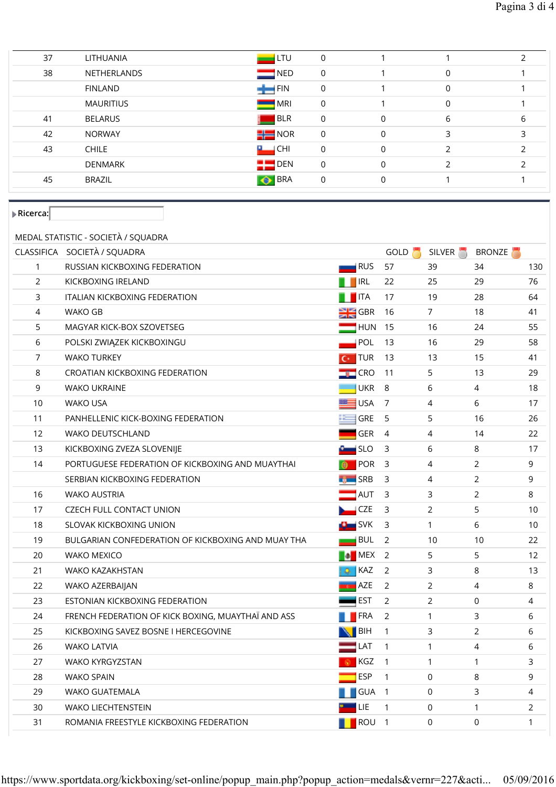| 37 | <b>LITHUANIA</b> |              | LTU<br>0           |              |              |   |
|----|------------------|--------------|--------------------|--------------|--------------|---|
| 38 | NETHERLANDS      |              | NED<br>$\mathbf 0$ |              | $\Omega$     |   |
|    | <b>FINLAND</b>   |              | FIN<br>0           |              | $\mathbf{0}$ |   |
|    | MAURITIUS        |              | MRI<br>0           |              | $\mathbf{0}$ |   |
| 41 | <b>BELARUS</b>   |              | BLR<br>0           | $\mathbf 0$  | 6            | b |
| 42 | <b>NORWAY</b>    | $\equiv$ NOR | 0                  | $\mathbf{0}$ | 3            |   |
| 43 | <b>CHILE</b>     | ш            | CHI<br>$\Omega$    | $\mathbf{0}$ |              |   |
|    | <b>DENMARK</b>   | 23           | DEN<br>$\mathbf 0$ | $\mathbf{0}$ |              |   |
| 45 | <b>BRAZIL</b>    | ∣⊙           | BRA<br>0           | $\mathbf{0}$ |              |   |
|    |                  |              |                    |              |              |   |

 $\blacktriangleright$  Ricerca: $\Box$ 

## MEDAL STATISTIC - SOCIETÀ / SQUADRA

|                | CLASSIFICA SOCIETÀ / SQUADRA                       |                              | GOLD <b>N</b>  | SILVER <sup>1</sup> | <b>BRONZE</b>  |              |
|----------------|----------------------------------------------------|------------------------------|----------------|---------------------|----------------|--------------|
| $\mathbf{1}$   | RUSSIAN KICKBOXING FEDERATION                      | $\blacksquare$ RUS           | 57             | 39                  | 34             | 130          |
| $\overline{2}$ | KICKBOXING IRELAND                                 | <b>THE IRL</b>               | 22             | 25                  | 29             | 76           |
| 3              | <b>ITALIAN KICKBOXING FEDERATION</b>               | <b>THE</b>                   | 17             | 19                  | 28             | 64           |
| 4              | WAKO GB                                            | $\frac{1}{2}$ GBR            | 16             | $\overline{7}$      | 18             | 41           |
| 5              | MAGYAR KICK-BOX SZOVETSEG                          | $\blacksquare$ HUN           | 15             | 16                  | 24             | 55           |
| 6              | POLSKI ZWIĄZEK KICKBOXINGU                         | POL                          | 13             | 16                  | 29             | 58           |
| $\overline{7}$ | <b>WAKO TURKEY</b>                                 | $\overline{C}$ TUR           | 13             | 13                  | 15             | 41           |
| 8              | CROATIAN KICKBOXING FEDERATION                     | $\blacksquare$ CRO           | 11             | 5                   | 13             | 29           |
| 9              | <b>WAKO UKRAINE</b>                                | <b>UKR</b>                   | 8              | 6                   | 4              | 18           |
| 10             | <b>WAKO USA</b>                                    | $\blacksquare$ USA           | $\overline{7}$ | 4                   | 6              | 17           |
| 11             | PANHELLENIC KICK-BOXING FEDERATION                 | <b>GRE</b>                   | 5              | 5                   | 16             | 26           |
| 12             | <b>WAKO DEUTSCHLAND</b>                            | <b>GER</b>                   | $\overline{4}$ | 4                   | 14             | 22           |
| 13             | KICKBOXING ZVEZA SLOVENIJE                         | <b>Example 15LO</b>          | 3              | 6                   | 8              | 17           |
| 14             | PORTUGUESE FEDERATION OF KICKBOXING AND MUAYTHAI   | <b>D</b> POR                 | 3              | 4                   | 2              | 9            |
|                | SERBIAN KICKBOXING FEDERATION                      | <b>THE SRB</b>               | 3              | 4                   | $\overline{2}$ | 9            |
| 16             | <b>WAKO AUSTRIA</b>                                | $\blacksquare$ AUT           | $\mathsf{3}$   | 3                   | $\overline{2}$ | 8            |
| 17             | <b>CZECH FULL CONTACT UNION</b>                    | $\overline{\phantom{a}}$ CZE | 3              | $\overline{2}$      | 5              | 10           |
| 18             | SLOVAK KICKBOXING UNION                            | $\frac{1}{2}$ SVK            | 3              | $\mathbf{1}$        | 6              | 10           |
| 19             | BULGARIAN CONFEDERATION OF KICKBOXING AND MUAY THA | $\blacksquare$ BUL           | 2              | 10                  | 10             | 22           |
| 20             | <b>WAKO MEXICO</b>                                 | <b>MEX</b>                   | $\overline{2}$ | 5                   | 5              | 12           |
| 21             | <b>WAKO KAZAKHSTAN</b>                             | $\bullet$ KAZ                | 2              | 3                   | 8              | 13           |
| 22             | WAKO AZERBAIJAN                                    | <b>AZE</b>                   | 2              | 2                   | $\overline{4}$ | 8            |
| 23             | ESTONIAN KICKBOXING FEDERATION                     | <b>EST</b>                   | 2              | $\overline{2}$      | $\mathbf 0$    | 4            |
| 24             | FRENCH FEDERATION OF KICK BOXING, MUAYTHAI AND ASS | <b>TERA</b>                  | $\overline{2}$ | $\mathbf{1}$        | 3              | 6            |
| 25             | KICKBOXING SAVEZ BOSNE I HERCEGOVINE               | $\blacksquare$ BIH           | $\mathbf{1}$   | 3                   | 2              | 6            |
| 26             | <b>WAKO LATVIA</b>                                 | $\blacksquare$ LAT           | $\mathbf{1}$   | 1                   | $\overline{4}$ | 6            |
| 27             | <b>WAKO KYRGYZSTAN</b>                             | KGZ                          | $\mathbf{1}$   | 1                   | $\mathbf{1}$   | 3            |
| 28             | <b>WAKO SPAIN</b>                                  | <b>ESP</b>                   | $\mathbf{1}$   | $\mathbf 0$         | 8              | 9            |
| 29             | <b>WAKO GUATEMALA</b>                              | GUA                          | $\overline{1}$ | $\mathbf 0$         | 3              | 4            |
| 30             | <b>WAKO LIECHTENSTEIN</b>                          | LIE                          | $\mathbf{1}$   | 0                   | $\mathbf{1}$   | 2            |
| 31             | ROMANIA FREESTYLE KICKBOXING FEDERATION            | <b>T</b> ROU 1               |                | $\mathbf 0$         | $\Omega$       | $\mathbf{1}$ |